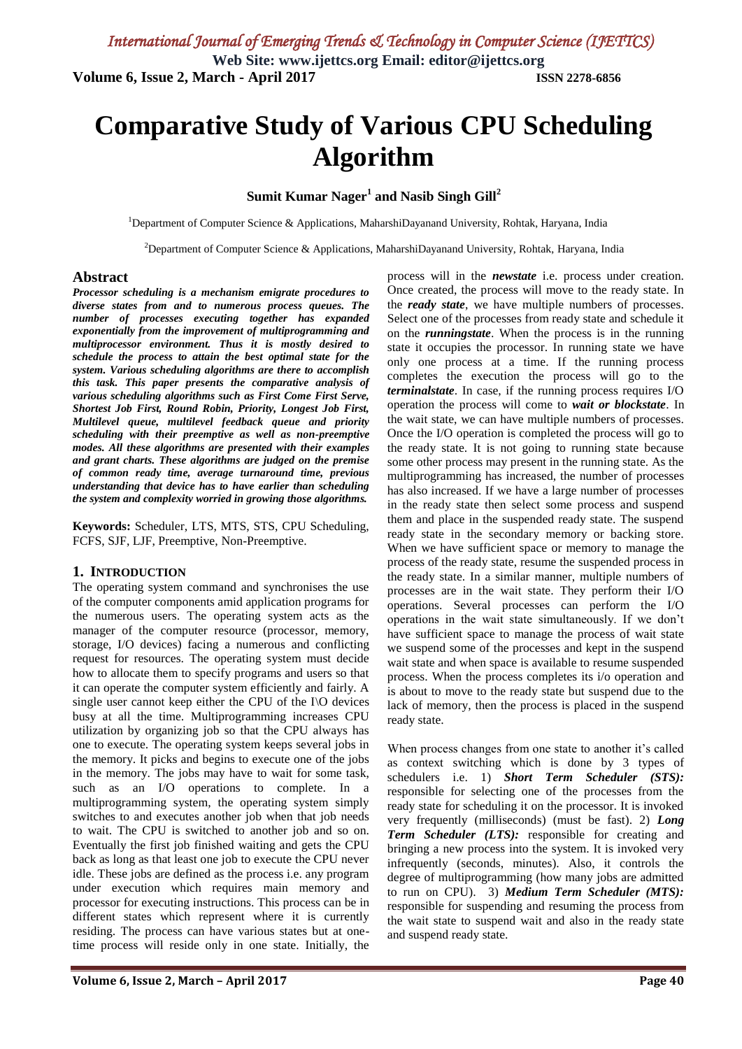# **Comparative Study of Various CPU Scheduling Algorithm**

## **Sumit Kumar Nager<sup>1</sup> and Nasib Singh Gill<sup>2</sup>**

<sup>1</sup>Department of Computer Science & Applications, MaharshiDayanand University, Rohtak, Haryana, India

<sup>2</sup>Department of Computer Science & Applications, MaharshiDayanand University, Rohtak, Haryana, India

## **Abstract**

*Processor scheduling is a mechanism emigrate procedures to diverse states from and to numerous process queues. The number of processes executing together has expanded exponentially from the improvement of multiprogramming and multiprocessor environment. Thus it is mostly desired to schedule the process to attain the best optimal state for the system. Various scheduling algorithms are there to accomplish this task. This paper presents the comparative analysis of various scheduling algorithms such as First Come First Serve, Shortest Job First, Round Robin, Priority, Longest Job First, Multilevel queue, multilevel feedback queue and priority scheduling with their preemptive as well as non-preemptive modes. All these algorithms are presented with their examples and grant charts. These algorithms are judged on the premise of common ready time, average turnaround time, previous understanding that device has to have earlier than scheduling the system and complexity worried in growing those algorithms.*

**Keywords:** Scheduler, LTS, MTS, STS, CPU Scheduling, FCFS, SJF, LJF, Preemptive, Non-Preemptive.

## **1. INTRODUCTION**

The operating system command and synchronises the use of the computer components amid application programs for the numerous users. The operating system acts as the manager of the computer resource (processor, memory, storage, I/O devices) facing a numerous and conflicting request for resources. The operating system must decide how to allocate them to specify programs and users so that it can operate the computer system efficiently and fairly. A single user cannot keep either the CPU of the I\O devices busy at all the time. Multiprogramming increases CPU utilization by organizing job so that the CPU always has one to execute. The operating system keeps several jobs in the memory. It picks and begins to execute one of the jobs in the memory. The jobs may have to wait for some task, such as an I/O operations to complete. In a multiprogramming system, the operating system simply switches to and executes another job when that job needs to wait. The CPU is switched to another job and so on. Eventually the first job finished waiting and gets the CPU back as long as that least one job to execute the CPU never idle. These jobs are defined as the process i.e. any program under execution which requires main memory and processor for executing instructions. This process can be in different states which represent where it is currently residing. The process can have various states but at onetime process will reside only in one state. Initially, the process will in the *newstate* i.e. process under creation. Once created, the process will move to the ready state. In the *ready state*, we have multiple numbers of processes. Select one of the processes from ready state and schedule it on the *runningstate*. When the process is in the running state it occupies the processor. In running state we have only one process at a time. If the running process completes the execution the process will go to the *terminalstate*. In case, if the running process requires I/O operation the process will come to *wait or blockstate*. In the wait state, we can have multiple numbers of processes. Once the I/O operation is completed the process will go to the ready state. It is not going to running state because some other process may present in the running state. As the multiprogramming has increased, the number of processes has also increased. If we have a large number of processes in the ready state then select some process and suspend them and place in the suspended ready state. The suspend ready state in the secondary memory or backing store. When we have sufficient space or memory to manage the process of the ready state, resume the suspended process in the ready state. In a similar manner, multiple numbers of processes are in the wait state. They perform their I/O operations. Several processes can perform the I/O operations in the wait state simultaneously. If we don't have sufficient space to manage the process of wait state we suspend some of the processes and kept in the suspend wait state and when space is available to resume suspended process. When the process completes its i/o operation and is about to move to the ready state but suspend due to the lack of memory, then the process is placed in the suspend ready state.

When process changes from one state to another it's called as context switching which is done by 3 types of schedulers i.e. 1) *Short Term Scheduler (STS):* responsible for selecting one of the processes from the ready state for scheduling it on the processor. It is invoked very frequently (milliseconds) (must be fast). 2) *Long Term Scheduler (LTS):* responsible for creating and bringing a new process into the system. It is invoked very infrequently (seconds, minutes). Also, it controls the degree of multiprogramming (how many jobs are admitted to run on CPU). 3) *Medium Term Scheduler (MTS):* responsible for suspending and resuming the process from the wait state to suspend wait and also in the ready state and suspend ready state.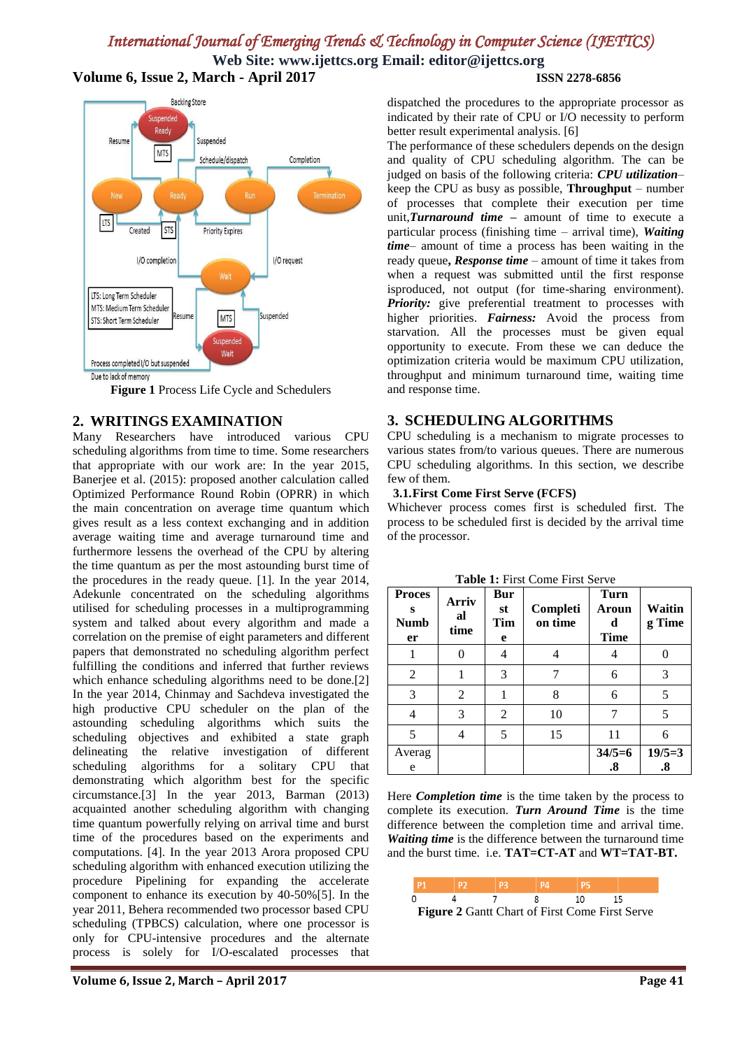**Web Site: www.ijettcs.org Email: editor@ijettcs.org Volume 6, Issue 2, March - April 2017 ISSN 2278-6856**



**Figure 1** Process Life Cycle and Schedulers

## **2. WRITINGS EXAMINATION**

Many Researchers have introduced various CPU scheduling algorithms from time to time. Some researchers that appropriate with our work are: In the year 2015, Banerjee et al. (2015): proposed another calculation called Optimized Performance Round Robin (OPRR) in which the main concentration on average time quantum which gives result as a less context exchanging and in addition average waiting time and average turnaround time and furthermore lessens the overhead of the CPU by altering the time quantum as per the most astounding burst time of the procedures in the ready queue. [1]. In the year 2014, Adekunle concentrated on the scheduling algorithms utilised for scheduling processes in a multiprogramming system and talked about every algorithm and made a correlation on the premise of eight parameters and different papers that demonstrated no scheduling algorithm perfect fulfilling the conditions and inferred that further reviews which enhance scheduling algorithms need to be done.[2] In the year 2014, Chinmay and Sachdeva investigated the high productive CPU scheduler on the plan of the astounding scheduling algorithms which suits the scheduling objectives and exhibited a state graph delineating the relative investigation of different scheduling algorithms for a solitary CPU that demonstrating which algorithm best for the specific circumstance.[3] In the year 2013, Barman (2013) acquainted another scheduling algorithm with changing time quantum powerfully relying on arrival time and burst time of the procedures based on the experiments and computations. [4]. In the year 2013 Arora proposed CPU scheduling algorithm with enhanced execution utilizing the procedure Pipelining for expanding the accelerate component to enhance its execution by 40-50%[5]. In the year 2011, Behera recommended two processor based CPU scheduling (TPBCS) calculation, where one processor is only for CPU-intensive procedures and the alternate process is solely for I/O-escalated processes that

dispatched the procedures to the appropriate processor as indicated by their rate of CPU or I/O necessity to perform better result experimental analysis. [6]

The performance of these schedulers depends on the design and quality of CPU scheduling algorithm. The can be judged on basis of the following criteria: *CPU utilization*– keep the CPU as busy as possible, **Throughput** – number of processes that complete their execution per time unit,*Turnaround time* **–** amount of time to execute a particular process (finishing time – arrival time), *Waiting time*– amount of time a process has been waiting in the ready queue**,** *Response time* – amount of time it takes from when a request was submitted until the first response isproduced, not output (for time-sharing environment). *Priority:* give preferential treatment to processes with higher priorities. *Fairness:* Avoid the process from starvation. All the processes must be given equal opportunity to execute. From these we can deduce the optimization criteria would be maximum CPU utilization, throughput and minimum turnaround time, waiting time and response time.

## **3. SCHEDULING ALGORITHMS**

CPU scheduling is a mechanism to migrate processes to various states from/to various queues. There are numerous CPU scheduling algorithms. In this section, we describe few of them.

## **3.1.First Come First Serve (FCFS)**

Whichever process comes first is scheduled first. The process to be scheduled first is decided by the arrival time of the processor.

| <b>Proces</b><br>S<br><b>Numb</b><br>er | Arriv<br>al<br>time | Bur<br>st<br>Tim<br>e | Completi<br>on time | <b>Turn</b><br>Aroun<br>d<br><b>Time</b> | <b>Waitin</b><br>g Time       |
|-----------------------------------------|---------------------|-----------------------|---------------------|------------------------------------------|-------------------------------|
|                                         | 0                   | 4                     |                     |                                          |                               |
| 2                                       |                     | 3                     |                     | 6                                        | 3                             |
| 3                                       | 2                   |                       | 8                   | 6                                        | 5                             |
| 4                                       | 3                   | $\overline{2}$        | 10                  |                                          | 5                             |
| 5                                       |                     | 5                     | 15                  | 11                                       | 6                             |
| Averag<br>e                             |                     |                       |                     | $34/5=6$<br>.8                           | $19/5=3$<br>$\boldsymbol{.8}$ |

**Table 1:** First Come First Serve

Here *Completion time* is the time taken by the process to complete its execution. *Turn Around Time* is the time difference between the completion time and arrival time. *Waiting time* is the difference between the turnaround time and the burst time. i.e. **TAT=CT-AT** and **WT=TAT-BT.** 

|                                                       |  |  |  | 10 |  |  |  |  |  |
|-------------------------------------------------------|--|--|--|----|--|--|--|--|--|
| <b>Figure 2 Gantt Chart of First Come First Serve</b> |  |  |  |    |  |  |  |  |  |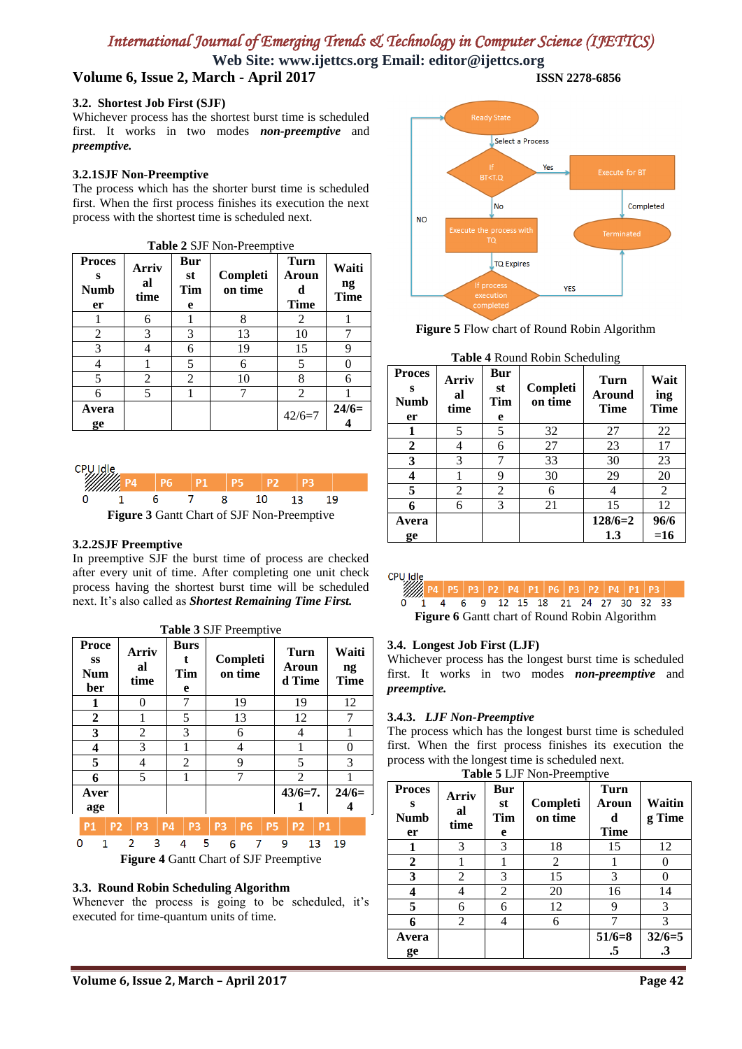**Web Site: www.ijettcs.org Email: editor@ijettcs.org Volume 6, Issue 2, March - April 2017 ISSN 2278-6856**

#### **3.2. Shortest Job First (SJF)**

Whichever process has the shortest burst time is scheduled first. It works in two modes *non-preemptive* and *preemptive.* 

### **3.2.1SJF Non-Preemptive**

The process which has the shorter burst time is scheduled first. When the first process finishes its execution the next process with the shortest time is scheduled next.

| <b>Table 2 SJF Non-Preemptive</b>       |                     |                       |                     |                                          |                            |  |  |  |  |
|-----------------------------------------|---------------------|-----------------------|---------------------|------------------------------------------|----------------------------|--|--|--|--|
| <b>Proces</b><br>s<br><b>Numb</b><br>er | Arriv<br>al<br>time | Bur<br>st<br>Tim<br>e | Completi<br>on time | <b>Turn</b><br>Aroun<br>d<br><b>Time</b> | Waiti<br>ng<br><b>Time</b> |  |  |  |  |
|                                         | 6                   |                       | 8                   | 2                                        |                            |  |  |  |  |
| 2                                       | 3                   | 3                     | 13                  | 10                                       |                            |  |  |  |  |
| 3                                       |                     | 6                     | 19                  | 15                                       | 9<br>0                     |  |  |  |  |
| 4                                       |                     | 5                     | 6                   | 5                                        |                            |  |  |  |  |
| 5                                       | 2                   | 2                     | 10                  | 8                                        | 6                          |  |  |  |  |
| 6                                       | 5                   |                       |                     | 2                                        |                            |  |  |  |  |
| Avera<br>ge                             |                     |                       |                     | $42/6=7$                                 | $24/6=$                    |  |  |  |  |



#### **3.2.2SJF Preemptive**

In preemptive SJF the burst time of process are checked after every unit of time. After completing one unit check process having the shortest burst time will be scheduled next. It's also called as *Shortest Remaining Time First.*

**Table 3** SJF Preemptive **Proce Burs Waiti Arriv Turn ss t Completi al Aroun ng Num Tim on time d Time time Time ber e 1** 0 7 19 19 12 **2** | 1 | 5 | 13 | 12 | 7 **3** | 2 | 3 | 6 | 4 | 1 **4** | 3 | 1 | 4 | 1 | 0 **5** 4 2 9 5 3 **6** | 5 | 1 | 7 | 2 | 1 **Aver 43/6=7. 24/6= 1 4 age P1 P2** P<sub>3</sub> **P4 P3** P<sub>3</sub> **P6 P5 P2 P1**  $\mathbf 0$  $\mathbf{1}$  $\overline{2}$ 3  $\overline{4}$ 5  $\overline{6}$  $\overline{7}$ 9 13 19 **Figure 4** Gantt Chart of SJF Preemptive

#### **3.3. Round Robin Scheduling Algorithm**

Whenever the process is going to be scheduled, it's executed for time-quantum units of time.



**Figure 5** Flow chart of Round Robin Algorithm

|                                         | <b>Table 4 Round Robin Scheduling</b> |                       |                     |                               |                     |  |  |  |  |  |
|-----------------------------------------|---------------------------------------|-----------------------|---------------------|-------------------------------|---------------------|--|--|--|--|--|
| <b>Proces</b><br>s<br><b>Numb</b><br>er | Arriv<br>al<br>time                   | Bur<br>st<br>Tim<br>e | Completi<br>on time | Turn<br>Around<br><b>Time</b> | Wait<br>ing<br>Time |  |  |  |  |  |
| 1                                       | 5                                     | 5                     | 32                  | 27                            | 22                  |  |  |  |  |  |
| $\mathbf{2}$                            | 4                                     | 6                     | 27                  | 23                            | 17                  |  |  |  |  |  |
| 3                                       | 3                                     | 7                     | 33                  | 30                            | 23                  |  |  |  |  |  |
| 4                                       |                                       | 9                     | 30                  | 29                            | 20                  |  |  |  |  |  |
| 5                                       | $\overline{2}$                        | $\overline{2}$        | 6                   | 4                             | 2                   |  |  |  |  |  |
| 6                                       | 6                                     | 3                     | 21                  | 15                            | 12                  |  |  |  |  |  |
| Avera                                   |                                       |                       |                     | $128/6=2$                     | 96/6                |  |  |  |  |  |
| ge                                      |                                       |                       |                     | 1.3                           | $=16$               |  |  |  |  |  |

CPU Idle

P4 | P5 | P3 | P2 | P4 | P1 | P6 | P3 | P2 | P4 | P1 | P3 Ó  $\mathbf{1}$  $\overline{4}$ 6 9 12 15 18 21 24 27 30 32 33 **Figure 6** Gantt chart of Round Robin Algorithm

#### **3.4. Longest Job First (LJF)**

Whichever process has the longest burst time is scheduled first. It works in two modes *non-preemptive* and *preemptive.*

#### **3.4.3.** *LJF Non-Preemptive*

The process which has the longest burst time is scheduled first. When the first process finishes its execution the process with the longest time is scheduled next.

|                                         | Table 5 LJF Non-Preemptive |                              |                     |                                          |                                  |  |  |  |  |
|-----------------------------------------|----------------------------|------------------------------|---------------------|------------------------------------------|----------------------------------|--|--|--|--|
| <b>Proces</b><br>s<br><b>Numb</b><br>er | Arriv<br>al<br>time        | <b>Bur</b><br>st<br>Tim<br>e | Completi<br>on time | <b>Turn</b><br>Aroun<br>d<br><b>Time</b> | Waitin<br>g Time                 |  |  |  |  |
| 1                                       | 3                          | 3                            | 18                  | 15                                       | 12                               |  |  |  |  |
| $\overline{2}$                          |                            |                              | 2                   |                                          |                                  |  |  |  |  |
| 3                                       | 2                          | 3                            | 15                  | 3                                        |                                  |  |  |  |  |
|                                         |                            | 2                            | 20                  | 16                                       | 14                               |  |  |  |  |
| 5                                       | 6                          | 6                            | 12                  | 9                                        | 3                                |  |  |  |  |
| 6                                       | 2                          |                              | 6                   |                                          | 3                                |  |  |  |  |
| Avera<br>ge                             |                            |                              |                     | $51/6=8$<br>.5                           | $32/6=5$<br>$\cdot$ <sup>3</sup> |  |  |  |  |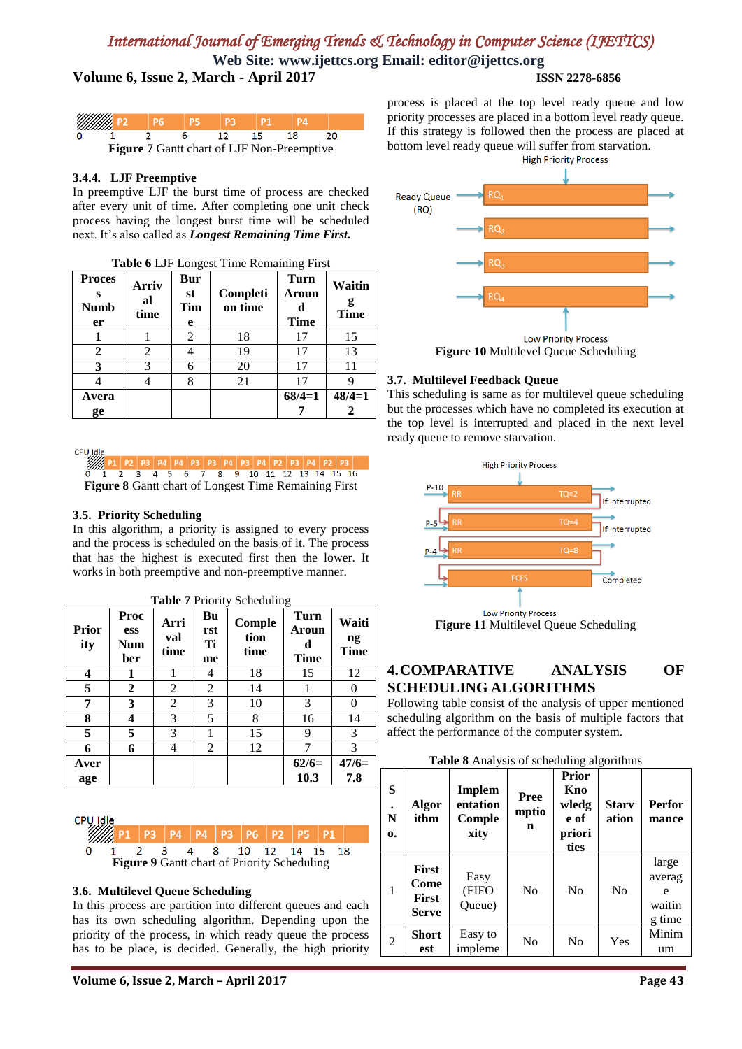**Web Site: www.ijettcs.org Email: editor@ijettcs.org**

## **Volume 6, Issue 2, March - April 2017 ISSN 2278-6856**

| <i>William</i> P2 |  |    |     |                                            |  |
|-------------------|--|----|-----|--------------------------------------------|--|
|                   |  | 12 | 15. | 18                                         |  |
|                   |  |    |     | Figure 7 Gantt chart of LJF Non-Preemptive |  |

## **3.4.4. LJF Preemptive**

In preemptive LJF the burst time of process are checked after every unit of time. After completing one unit check process having the longest burst time will be scheduled next. It's also called as *Longest Remaining Time First.*

| <b>Proces</b><br>s<br><b>Numb</b><br>er | <b>Arriv</b><br>al<br>time | Bur<br>st<br>Tim<br>e | Completi<br>on time | <b>Turn</b><br>Aroun<br>d<br><b>Time</b> | Waitin<br>g<br><b>Time</b> |
|-----------------------------------------|----------------------------|-----------------------|---------------------|------------------------------------------|----------------------------|
| 1                                       |                            | $\mathfrak{D}$        | 18                  | 17                                       | 15                         |
| $\mathbf{2}$                            | 2                          |                       | 19                  | 17                                       | 13                         |
| 3                                       | 3                          | 6                     | 20                  | 17                                       | 11                         |
| 4                                       | 4                          | 8                     | 21                  | 17                                       | 9                          |
| Avera                                   |                            |                       |                     | $68/4=1$                                 | $48/4=1$                   |
| ge                                      |                            |                       |                     |                                          | 2                          |

## **Table 6** LJF Longest Time Remaining First

CPU Idle

Ø 2 P3 P4 P4 P3 P3 P4 P3 P4 P2 P3 P4 P2 P3<br>3 4 5 6 7 8 9 10 11 12 13 14 15 16 **Figure 8** Gantt chart of Longest Time Remaining First

## **3.5. Priority Scheduling**

In this algorithm, a priority is assigned to every process and the process is scheduled on the basis of it. The process that has the highest is executed first then the lower. It works in both preemptive and non-preemptive manner.

**Table 7** Priority Scheduling

| <b>Prior</b><br>ity | Proc<br>ess<br>Num<br>ber | Arri<br>val<br>time | Bu<br>rst<br>Ti<br>me | $5$ CHCUCHING<br>Comple<br>tion<br>time | <b>Turn</b><br>Aroun<br>d<br><b>Time</b> | Waiti<br>ng<br><b>Time</b> |
|---------------------|---------------------------|---------------------|-----------------------|-----------------------------------------|------------------------------------------|----------------------------|
| 4                   | 1                         |                     | 4                     | 18                                      | 15                                       | 12                         |
| 5                   | 2                         | 2                   | 2                     | 14                                      |                                          | 0                          |
| 7                   | 3                         | 2                   | 3                     | 10                                      | 3                                        | 0                          |
| 8                   | 4                         | 3                   | 5                     | 8                                       | 16                                       | 14                         |
| 5                   | 5                         | 3                   |                       | 15                                      | 9                                        | 3                          |
| 6                   | 6                         | 4                   | 2                     | 12                                      |                                          | 3                          |
| Aver<br>age         |                           |                     |                       |                                         | $62/6=$<br>10.3                          | $47/6=$<br>7.8             |



## **3.6. Multilevel Queue Scheduling**

In this process are partition into different queues and each has its own scheduling algorithm. Depending upon the priority of the process, in which ready queue the process has to be place, is decided. Generally, the high priority

process is placed at the top level ready queue and low priority processes are placed in a bottom level ready queue. If this strategy is followed then the process are placed at bottom level ready queue will suffer from starvation.<br>High Priority Process



## **3.7. Multilevel Feedback Queue**

This scheduling is same as for multilevel queue scheduling but the processes which have no completed its execution at the top level is interrupted and placed in the next level ready queue to remove starvation.



## **4.COMPARATIVE ANALYSIS OF SCHEDULING ALGORITHMS**

Following table consist of the analysis of upper mentioned scheduling algorithm on the basis of multiple factors that affect the performance of the computer system.

|  |  | Table 8 Analysis of scheduling algorithms |  |
|--|--|-------------------------------------------|--|
|--|--|-------------------------------------------|--|

| S<br>N<br>0.   | Algor<br>ithm                                 | Implem<br>entation<br>Comple<br>xity | Pree<br>mptio<br>n | <b>Prior</b><br>Kno<br>wledg<br>e of<br>priori<br>ties | <b>Stary</b><br>ation | <b>Perfor</b><br>mance                   |
|----------------|-----------------------------------------------|--------------------------------------|--------------------|--------------------------------------------------------|-----------------------|------------------------------------------|
| $\mathbf{1}$   | <b>First</b><br>Come<br><b>First</b><br>Serve | Easy<br>(FIFO<br>Queue)              | N <sub>0</sub>     | N <sub>0</sub>                                         | No                    | large<br>averag<br>e<br>waitin<br>g time |
| $\overline{2}$ | Short<br>est                                  | Easy to<br>impleme                   | No                 | N <sub>0</sub>                                         | Yes                   | Minim<br>um                              |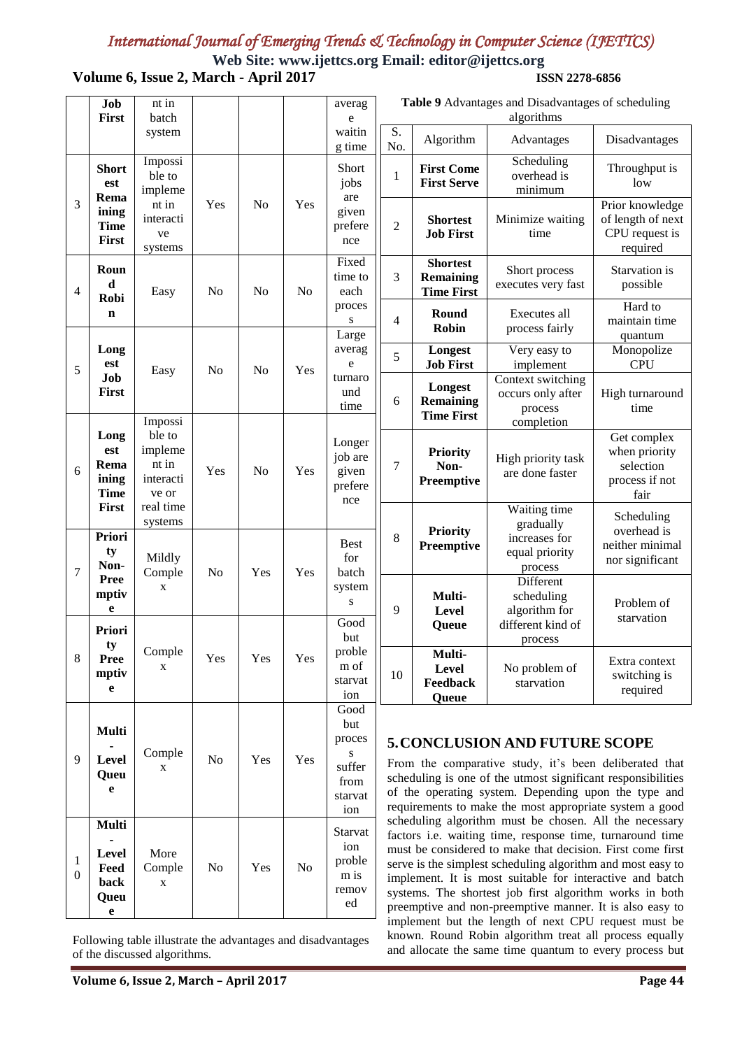## *International Journal of Emerging Trends & Technology in Computer Science (IJETTCS)*  **Web Site: www.ijettcs.org Email: editor@ijettcs.org**

**Volume 6, Issue 2, March - April 2017 ISSN 2278-6856**

|                                  | Job<br>First                                | nt in<br>batch                                   |                |                |                | averag<br>e                                                    | Table 9 Advantages and Disadvantages of scheduling<br>algorithms                                                                                                                                                                                                                                                                                                                                                                                                                                                                                                                                                                                                                                                          |                                                          |                                                                         |                                                                     |  |
|----------------------------------|---------------------------------------------|--------------------------------------------------|----------------|----------------|----------------|----------------------------------------------------------------|---------------------------------------------------------------------------------------------------------------------------------------------------------------------------------------------------------------------------------------------------------------------------------------------------------------------------------------------------------------------------------------------------------------------------------------------------------------------------------------------------------------------------------------------------------------------------------------------------------------------------------------------------------------------------------------------------------------------------|----------------------------------------------------------|-------------------------------------------------------------------------|---------------------------------------------------------------------|--|
|                                  |                                             | system                                           |                |                |                | waitin<br>g time                                               | S.<br>No.                                                                                                                                                                                                                                                                                                                                                                                                                                                                                                                                                                                                                                                                                                                 | Algorithm                                                | Advantages                                                              | Disadvantages                                                       |  |
|                                  | <b>Short</b><br>est<br>Rema                 | Impossi<br>ble to<br>impleme                     |                |                |                | Short<br>jobs<br>are                                           | $\mathbf{1}$                                                                                                                                                                                                                                                                                                                                                                                                                                                                                                                                                                                                                                                                                                              | <b>First Come</b><br><b>First Serve</b>                  | Scheduling<br>overhead is<br>minimum                                    | Throughput is<br>low                                                |  |
| 3                                | ining<br><b>Time</b><br>First               | nt in<br>interacti<br>ve<br>systems              | Yes            | N <sub>0</sub> | Yes            | given<br>prefere<br>nce                                        | $\overline{c}$                                                                                                                                                                                                                                                                                                                                                                                                                                                                                                                                                                                                                                                                                                            | <b>Shortest</b><br><b>Job First</b>                      | Minimize waiting<br>time                                                | Prior knowledge<br>of length of next<br>CPU request is<br>required  |  |
| 4                                | Roun<br>d<br>Robi                           | Easy                                             | N <sub>o</sub> | N <sub>0</sub> | No             | Fixed<br>time to<br>each                                       | 3                                                                                                                                                                                                                                                                                                                                                                                                                                                                                                                                                                                                                                                                                                                         | <b>Shortest</b><br><b>Remaining</b><br><b>Time First</b> | Short process<br>executes very fast                                     | Starvation is<br>possible                                           |  |
|                                  | $\mathbf n$                                 |                                                  |                |                |                | proces<br>S<br>Large                                           | 4                                                                                                                                                                                                                                                                                                                                                                                                                                                                                                                                                                                                                                                                                                                         | Round<br>Robin                                           | Executes all<br>process fairly                                          | Hard to<br>maintain time<br>quantum                                 |  |
| 5                                | Long<br>est                                 | Easy                                             | N <sub>o</sub> | N <sub>o</sub> | Yes            | averag<br>e                                                    | 5                                                                                                                                                                                                                                                                                                                                                                                                                                                                                                                                                                                                                                                                                                                         | Longest<br><b>Job First</b>                              | Very easy to<br>implement                                               | Monopolize<br><b>CPU</b>                                            |  |
|                                  | Job<br>First                                | Impossi                                          |                |                |                | turnaro<br>und<br>time                                         | 6                                                                                                                                                                                                                                                                                                                                                                                                                                                                                                                                                                                                                                                                                                                         | Longest<br><b>Remaining</b><br><b>Time First</b>         | Context switching<br>occurs only after<br>process<br>completion         | High turnaround<br>time                                             |  |
| 6                                | Long<br>est<br>Rema<br>ining<br><b>Time</b> | ble to<br>impleme<br>nt in<br>interacti<br>ve or | Yes            | N <sub>o</sub> | Yes            | Longer<br>job are<br>given<br>prefere<br>nce                   | 7                                                                                                                                                                                                                                                                                                                                                                                                                                                                                                                                                                                                                                                                                                                         | Priority<br>Non-<br><b>Preemptive</b>                    | High priority task<br>are done faster                                   | Get complex<br>when priority<br>selection<br>process if not<br>fair |  |
| 7                                | First<br><b>Priori</b><br>ty<br>Non-        | real time<br>systems<br>Mildly<br>Comple         | N <sub>o</sub> | Yes            | Yes            | <b>Best</b><br>for<br>batch                                    | 8                                                                                                                                                                                                                                                                                                                                                                                                                                                                                                                                                                                                                                                                                                                         | Priority<br><b>Preemptive</b>                            | Waiting time<br>gradually<br>increases for<br>equal priority<br>process | Scheduling<br>overhead is<br>neither minimal<br>nor significant     |  |
|                                  | <b>Pree</b><br>mptiv<br>e                   | X                                                |                |                |                | system<br>${\bf S}$<br>Good                                    | 9                                                                                                                                                                                                                                                                                                                                                                                                                                                                                                                                                                                                                                                                                                                         | Multi-<br>Level                                          | Different<br>scheduling<br>algorithm for<br>different kind of           | Problem of<br>starvation                                            |  |
| 8                                | Priori<br>ty<br>Pree<br>mptiv<br>e          | Comple<br>X                                      | Yes            | Yes            | Yes            | but<br>proble<br>m of<br>starvat<br>ion                        | 10                                                                                                                                                                                                                                                                                                                                                                                                                                                                                                                                                                                                                                                                                                                        | Queue<br>Multi-<br>Level<br>Feedback<br>Queue            | process<br>No problem of<br>starvation                                  | Extra context<br>switching is<br>required                           |  |
| 9                                | <b>Multi</b><br>Level<br>Queu<br>e          | Comple<br>X                                      | No             | Yes            | Yes            | Good<br>but<br>proces<br>S<br>suffer<br>from<br>starvat<br>ion | <b>5. CONCLUSION AND FUTURE SCOPE</b><br>From the comparative study, it's been deliberated that<br>scheduling is one of the utmost significant responsibilities<br>of the operating system. Depending upon the type and<br>requirements to make the most appropriate system a good<br>scheduling algorithm must be chosen. All the necessary<br>factors i.e. waiting time, response time, turnaround time<br>must be considered to make that decision. First come first<br>serve is the simplest scheduling algorithm and most easy to<br>implement. It is most suitable for interactive and batch<br>systems. The shortest job first algorithm works in both<br>preemptive and non-preemptive manner. It is also easy to |                                                          |                                                                         |                                                                     |  |
| $\mathbf{1}$<br>$\boldsymbol{0}$ | Multi<br>Level<br>Feed<br>back<br>Queu<br>e | More<br>Comple<br>X                              | N <sub>0</sub> | Yes            | N <sub>0</sub> | Starvat<br>ion<br>proble<br>m is<br>remov<br>ed                |                                                                                                                                                                                                                                                                                                                                                                                                                                                                                                                                                                                                                                                                                                                           |                                                          |                                                                         |                                                                     |  |

 $\overline{a}$ 

Following table illustrate the advantages and disadvantages of the discussed algorithms.

L

implement but the length of next CPU request must be known. Round Robin algorithm treat all process equally and allocate the same time quantum to every process but